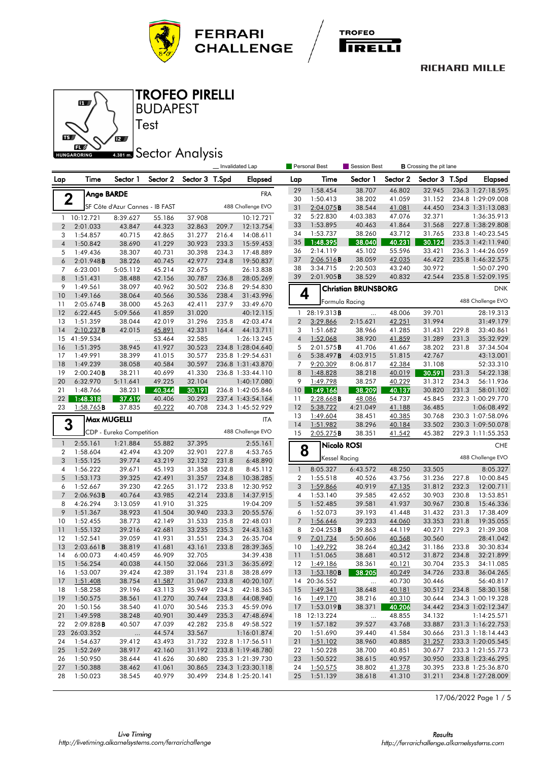





BUDAPEST TROFEO PIRELLI

# **ABB1 mm** Sector Analysis

Test

|                      |                         |                                 |                  |                  |       | Invalidated Lap        | Personal Best    |                      | Session Best               |                  | <b>B</b> Crossing the pit lane |                |                                        |
|----------------------|-------------------------|---------------------------------|------------------|------------------|-------|------------------------|------------------|----------------------|----------------------------|------------------|--------------------------------|----------------|----------------------------------------|
| Lap                  | Time                    | Sector 1                        | Sector 2         | Sector 3 T.Spd   |       | <b>Elapsed</b>         | Lap              | Time                 | Sector 1                   | Sector 2         | Sector 3 T.Spd                 |                | <b>Elapsed</b>                         |
|                      | Ange BARDE              |                                 |                  |                  |       | <b>FRA</b>             | 29               | 1:58.454             | 38.707                     | 46.802           | 32.945                         |                | 236.3 1:27:18.595                      |
|                      | $\mathbf 2$             |                                 |                  |                  |       |                        | 30               | 1:50.413             | 38.202                     | 41.059           | 31.152                         |                | 234.8 1:29:09.008                      |
|                      |                         | SF Côte d'Azur Cannes - IB FAST |                  |                  |       | 488 Challenge EVO      | 31               | $2:04.075$ B         | 38.544                     | 41.081           | 44.450                         |                | 234.3 1:31:13.083                      |
| $\mathbf{1}$         | 10:12.721               | 8:39.627                        | 55.186           | 37.908           |       | 10:12.721              | 32               | 5:22.830             | 4:03.383                   | 47.076           | 32.371                         |                | 1:36:35.913                            |
| $\overline{2}$       | 2:01.033                | 43.847                          | 44.323           | 32.863           | 209.7 | 12:13.754              | 33               | 1:53.895             | 40.463                     | 41.864           | 31.568                         |                | 227.8 1:38:29.808                      |
| 3                    | 1:54.857                | 40.715                          | 42.865           | 31.277           | 216.4 | 14:08.611              | 34<br>35         | 1:53.737             | 38.260                     | 43.712           | 31.765                         |                | 233.8 1:40:23.545                      |
| $\overline{4}$       | 1:50.842                | 38.690                          | 41.229           | 30.923           | 233.3 | 15:59.453              | 36               | 1:48.395<br>2:14.119 | 38.040<br>45.102           | 40.231<br>55.596 | 30.124<br>33.421               |                | 235.3 1:42:11.940<br>236.3 1:44:26.059 |
| 5                    | 1:49.436                | 38.307                          | 40.731           | 30.398           | 234.3 | 17:48.889              | 37               | $2:06.516$ <b>B</b>  | 38.059                     | 42.035           | 46.422                         |                | 235.8 1:46:32.575                      |
| 6                    | 2:01.948B               | 38.226                          | 40.745           | 42.977           | 234.8 | 19:50.837              | 38               | 3:34.715             | 2:20.503                   | 43.240           | 30.972                         |                | 1:50:07.290                            |
| 7<br>8               | 6:23.001<br>1:51.431    | 5:05.112<br>38.488              | 45.214<br>42.156 | 32.675<br>30.787 | 236.8 | 26:13.838<br>28:05.269 | 39               | 2:01.905B            | 38.529                     | 40.832           | 42.544                         |                | 235.8 1:52:09.195                      |
| 9                    | 1:49.561                | 38.097                          | 40.962           | 30.502           | 236.8 | 29:54.830              |                  |                      |                            |                  |                                |                |                                        |
| 10                   | 1:49.166                | 38.064                          | 40.566           | 30.536           | 238.4 | 31:43.996              | 4                |                      | <b>Christian BRUNSBORG</b> |                  |                                |                | <b>DNK</b>                             |
| 11                   | 2:05.674B               | 38.000                          | 45.263           | 42.411           | 237.9 | 33:49.670              |                  | Formula Racing       |                            |                  |                                |                | 488 Challenge EVO                      |
| 12                   | 6:22.445                | 5:09.566                        | 41.859           | 31.020           |       | 40:12.115              | 1                | 28:19.313B           |                            | 48.006           | 39.701                         |                | 28:19.313                              |
| 13                   | 1:51.359                | 38.044                          | 42.019           | 31.296           | 235.8 | 42:03.474              | $\boldsymbol{2}$ | 3:29.866             | 2:15.621                   | 42.251           | 31.994                         |                | 31:49.179                              |
| 14                   | 2:10.237B               | 42.015                          | 45.891           | 42.331           | 164.4 | 44:13.711              | 3                | 1:51.682             | 38.966                     | 41.285           | 31.431                         | 229.8          | 33:40.861                              |
| 15                   | 41:59.534               | $\cdots$                        | 53.464           | 32.585           |       | 1:26:13.245            | $\overline{4}$   | 1:52.068             | 38.920                     | 41.859           | 31.289                         | 231.3          | 35:32.929                              |
| 16                   | 1:51.395                | 38.945                          | 41.927           | 30.523           |       | 234.8 1:28:04.640      | 5                | 2:01.575B            | 41.706                     | 41.667           | 38.202                         | 231.8          | 37:34.504                              |
| 17                   | 1:49.991                | 38.399                          | 41.015           | 30.577           |       | 235.8 1:29:54.631      | 6                | 5:38.497B            | 4:03.915                   | 51.815           | 42.767                         |                | 43:13.001                              |
| 18                   | 1:49.239                | 38.058                          | 40.584           | 30.597           |       | 236.8 1:31:43.870      | $\overline{7}$   | 9:20.309             | 8:06.817                   | 42.384           | 31.108                         |                | 52:33.310                              |
| 19                   | 2:00.240B               | 38.211                          | 40.699           | 41.330           |       | 236.8 1:33:44.110      | 8                | 1:48.828             | 38.218                     | 40.019           | 30.591                         | 231.3          | 54:22.138                              |
| 20                   | 6:32.970                | 5:11.641                        | 49.225           | 32.104           |       | 1:40:17.080            | 9                | 1:49.798             | 38.257                     | 40.229           | 31.312                         | 234.3          | 56:11.936                              |
| 21                   | 1:48.766                | 38.231                          | 40.344           | 30.191           |       | 236.8 1:42:05.846      | 10               | 1:49.166             | 38.209                     | 40.137           | 30.820                         | 231.3          | 58:01.102                              |
| 22                   | 1:48.318                | 37.619                          | 40.406           | 30.293           |       | 237.4 1:43:54.164      | 11               | 2:28.668B            | 48.086                     | 54.737<br>41.188 | 45.845                         |                | 232.3 1:00:29.770                      |
| 23                   | $1:58.765$ <b>B</b>     | 37.835                          | 40.222           | 40.708           |       | 234.3 1:45:52.929      | 12<br>13         | 5:38.722<br>1:49.604 | 4:21.049<br>38.451         | 40.385           | 36.485<br>30.768               |                | 1:06:08.492<br>230.3 1:07:58.096       |
|                      | <b>Max MUGELLI</b><br>3 |                                 |                  |                  |       | <b>ITA</b>             | 14               | 1:51.982             | 38.296                     | 40.184           | 33.502                         |                | 230.3 1:09:50.078                      |
|                      |                         | CDP - Eureka Competition        |                  |                  |       | 488 Challenge EVO      | 15               | 2:05.275B            | 38.351                     | 41.542           | 45.382                         |                | 229.3 1:11:55.353                      |
| $\mathbf{1}$         | 2:55.161                | 1:21.884                        | 55.882           | 37.395           |       | 2:55.161               |                  | Nicolò ROSI          |                            |                  |                                |                | <b>CHE</b>                             |
| 2                    | 1:58.604                | 42.494                          | 43.209           | 32.901           | 227.8 | 4:53.765               | 8                |                      |                            |                  |                                |                | 488 Challenge EVO                      |
| 3                    | 1:55.125                | 39.774                          | 43.219           | 32.132           | 231.8 | 6:48.890               |                  | <b>Kessel Racing</b> |                            |                  |                                |                |                                        |
| 4                    | 1:56.222                | 39.671                          | 45.193           | 31.358           | 232.8 | 8:45.112               | $\mathbf{1}$     | 8:05.327             | 6:43.572                   | 48.250           | 33.505                         |                | 8:05.327                               |
| 5                    | 1:53.173                | 39.325                          | 42.491           | 31.357           | 234.8 | 10:38.285              | $\overline{2}$   | 1:55.518             | 40.526                     | 43.756           | 31.236                         | 227.8          | 10:00.845                              |
| 6<br>$7\overline{ }$ | 1:52.667                | 39.230                          | 42.265           | 31.172           | 233.8 | 12:30.952              | 3                | 1:59.866             | 40.919                     | 47.135           | 31.812                         | 232.3          | 12:00.711                              |
| 8                    | 2:06.963B               | 40.764                          | 43.985           | 42.214           | 233.8 | 14:37.915              | 4<br>5           | 1:53.140             | 39.585                     | 42.652           | 30.903                         | 230.8          | 13:53.851                              |
| 9                    | 4:26.294<br>1:51.367    | 3:13.059<br>38.923              | 41.910<br>41.504 | 31.325<br>30.940 | 233.3 | 19:04.209<br>20:55.576 | 6                | 1:52.485<br>1:52.073 | 39.581<br>39.193           | 41.937<br>41.448 | 30.967<br>31.432               | 230.8<br>231.3 | 15:46.336<br>17:38.409                 |
| 10                   | 1:52.455                | 38.773                          | 42.149           | 31.533           | 235.8 | 22:48.031              | $\overline{7}$   | 1:56.646             | 39.233                     | 44.060           | 33.353                         | 231.8          | 19:35.055                              |
| 11                   | 1:55.132                | 39.216                          | 42.681           | 33.235           | 235.3 | 24:43.163              | 8                | $2:04.253$ <b>B</b>  | 39.863                     | 44.119           | 40.271                         | 229.3          | 21:39.308                              |
| 12                   | 1:52.541                | 39.059                          | 41.931           | 31.551           | 234.3 | 26:35.704              | 9                | 7:01.734             | 5:50.606                   | 40.568           | 30.560                         |                | 28:41.042                              |
| 13                   | 2:03.661B               | 38.819                          | 41.681           | 43.161           | 233.8 | 28:39.365              | 10               | 1:49.792             | 38.264                     | 40.342           | 31.186                         | 233.8          | 30:30.834                              |
| 14                   | 6:00.073                | 4:40.459                        | 46.909           | 32.705           |       | 34:39.438              | 11               | 1:51.065             | 38.681                     | 40.512           | 31.872                         | 234.8          | 32:21.899                              |
| 15                   | 1:56.254                | 40.038                          | 44.150           | 32.066           | 231.3 | 36:35.692              | 12               | 1:49.186             | 38.361                     | 40.121           | 30.704                         | 235.3          | 34:11.085                              |
| 16                   | 1:53.007                | 39.424                          | 42.389           | 31.194           | 231.8 | 38:28.699              | 13               | 1:53.180B            | 38.205                     | 40.249           | 34.726                         | 233.8          | 36:04.265                              |
| 17                   | 1:51.408                | 38.754                          | 41.587           | 31.067           | 233.8 | 40:20.107              | 14               | 20:36.552            | $\ldots$                   | 40.730           | 30.446                         |                | 56:40.817                              |
| 18                   | 1:58.258                | 39.196                          | 43.113           | 35.949           | 234.3 | 42:18.365              | 15               | 1:49.341             | 38.648                     | 40.181           | 30.512                         | 234.8          | 58:30.158                              |
| 19                   | 1:50.575                | 38.561                          | 41.270           | 30.744           | 233.8 | 44:08.940              | 16               | 1:49.170             | 38.216                     | 40.310           | 30.644                         |                | 234.3 1:00:19.328                      |
| 20                   | 1:50.156                | 38.540                          | 41.070           | 30.546           | 235.3 | 45:59.096              | 17               | 1:53.019 <b>B</b>    | 38.371                     | 40.206           | 34.442                         |                | 234.3 1:02:12.347                      |
| 21                   | 1:49.598                | 38.248                          | 40.901           | 30.449           | 235.3 | 47:48.694              |                  | 18 12:13.224         | $\ldots$                   | 48.855           | 34.132                         |                | 1:14:25.571                            |
| 22                   | 2:09.828B               | 40.507                          | 47.039           | 42.282           | 235.8 | 49:58.522              | 19               | 1:57.182             | 39.527                     | 43.768           | 33.887                         |                | 231.3 1:16:22.753                      |
| 23                   | 26:03.352               | $\ldots$                        | 44.574           | 33.567           |       | 1:16:01.874            | 20               | 1:51.690             | 39.440                     | 41.584           | 30.666                         |                | 231.3 1:18:14.443                      |
| 24                   | 1:54.637                | 39.412                          | 43.493           | 31.732           |       | 232.8 1:17:56.511      | 21               | 1:51.102             | 38.960                     | 40.885           | 31.257                         |                | 233.3 1:20:05.545                      |
| 25                   | 1:52.269                | 38.917                          | 42.160           | 31.192           |       | 233.8 1:19:48.780      | 22               | 1:50.228             | 38.700                     | 40.851           | 30.677                         |                | 233.3 1:21:55.773                      |
| 26                   | 1:50.950                | 38.644                          | 41.626           | 30.680           |       | 235.3 1:21:39.730      | 23               | 1:50.522<br>1:50.575 | 38.615                     | 40.957           | 30.950                         |                | 233.8 1:23:46.295                      |
| 27<br>28             | 1:50.388<br>1:50.023    | 38.462                          | 41.061<br>40.979 | 30.865<br>30.499 |       | 234.3 1:23:30.118      | 24<br>25         |                      | 38.802                     | 41.378<br>41.310 | 30.395                         |                | 233.8 1:25:36.870<br>234.8 1:27:28.009 |
|                      |                         | 38.545                          |                  |                  |       | 234.8 1:25:20.141      |                  | 1:51.139             | 38.618                     |                  | 31.211                         |                |                                        |

17/06/2022 Page 1 / 5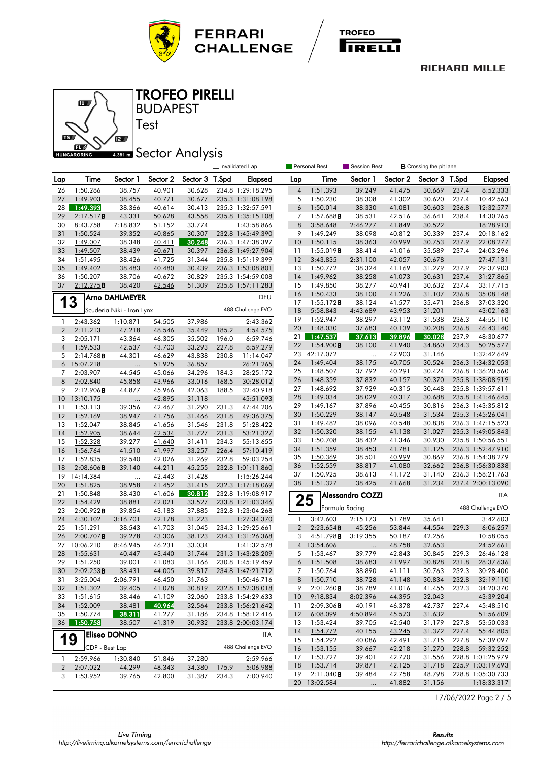





### BUDAPEST TROFEO PIRELLI

# **ABB1 mm** Sector Analysis

Test

|                |                      |                           |                  |                  | <b>Personal Best</b><br><b>B</b> Crossing the pit lane<br>Invalidated Lap<br><b>Session Best</b> |                        |                |                      |                         |                  |                  |              |                                        |
|----------------|----------------------|---------------------------|------------------|------------------|--------------------------------------------------------------------------------------------------|------------------------|----------------|----------------------|-------------------------|------------------|------------------|--------------|----------------------------------------|
| Lap            | Time                 | Sector 1                  | Sector 2         | Sector 3 T.Spd   |                                                                                                  | Elapsed                | Lap            | Time                 | Sector 1                | Sector 2         | Sector 3 T.Spd   |              | Elapsed                                |
| 26             | 1:50.286             | 38.757                    | 40.901           | 30.628           |                                                                                                  | 234.8 1:29:18.295      | $\overline{4}$ | 1:51.393             | 39.249                  | 41.475           | 30.669           | 237.4        | 8:52.333                               |
| 27             | 1:49.903             | 38.455                    | 40.771           | 30.677           |                                                                                                  | 235.3 1:31:08.198      | 5              | 1:50.230             | 38.308                  | 41.302           | 30.620           | 237.4        | 10:42.563                              |
| 28             | 1:49.393             | 38.366                    | 40.614           | 30.413           |                                                                                                  | 235.3 1:32:57.591      | 6              | 1:50.014             | 38.330                  | 41.081           | 30.603           | 236.8        | 12:32.577                              |
| 29             | 2:17.517B            | 43.331                    | 50.628           | 43.558           |                                                                                                  | 235.8 1:35:15.108      | $\overline{7}$ | 1:57.688B            | 38.531                  | 42.516           | 36.641           | 238.4        | 14:30.265                              |
| 30             | 8:43.758             | 7:18.832                  | 51.152           | 33.774           |                                                                                                  | 1:43:58.866            | 8              | 3:58.648             | 2:46.277                | 41.849           | 30.522           |              | 18:28.913                              |
| 31             | 1:50.524             | 39.352                    | 40.865           | 30.307           |                                                                                                  | 232.8 1:45:49.390      | 9              | 1:49.249             | 38.098                  | 40.812           | 30.339           | 237.4        | 20:18.162                              |
| 32             | 1:49.007             | 38.348                    | 40.411           | 30.248           |                                                                                                  | 236.3 1:47:38.397      | 10             | 1:50.115             | 38.363                  | 40.999           | 30.753           | 237.9        | 22:08.277                              |
| 33             | 1:49.507             | 38.439                    | 40.671           | 30.397           |                                                                                                  | 236.8 1:49:27.904      | 11             | 1:55.019B            | 38.414                  | 41.016           | 35.589           | 237.4        | 24:03.296                              |
| 34             | 1:51.495             | 38.426                    | 41.725           | 31.344           |                                                                                                  | 235.8 1:51:19.399      | 12             | 3:43.835             | 2:31.100                | 42.057           | 30.678           |              | 27:47.131                              |
| 35             | 1:49.402             | 38.483                    | 40.480           | 30.439           |                                                                                                  | 236.3 1:53:08.801      | 13             | 1:50.772             | 38.324                  | 41.169           | 31.279           | 237.9        | 29:37.903                              |
| 36             | 1:50.207             | 38.706                    | 40.672           | 30.829           |                                                                                                  | 235.3 1:54:59.008      | 14             | 1:49.962             | 38.258                  | 41.073           | 30.631           | 237.4        | 31:27.865                              |
| 37             | 2:12.275B            | 38.420                    | 42.546           | 51.309           |                                                                                                  | 235.8 1:57:11.283      | 15             | 1:49.850             | 38.277                  | 40.941           | 30.632           | 237.4        | 33:17.715                              |
|                |                      | <b>Arno DAHLMEYER</b>     |                  |                  |                                                                                                  | DEU                    | 16             | 1:50.433             | 38.100                  | 41.226           | 31.107           | 236.8        | 35:08.148                              |
| 1              | 3                    |                           |                  |                  |                                                                                                  |                        | 17             | 1:55.172B            | 38.124                  | 41.577           | 35.471           | 236.8        | 37:03.320                              |
|                |                      | Scuderia Niki - Iron Lynx |                  |                  |                                                                                                  | 488 Challenge EVO      | 18             | 5:58.843             | 4:43.689                | 43.953           | 31.201           |              | 43:02.163                              |
| $\mathbf{1}$   | 2:43.362             | 1:10.871                  | 54.505           | 37.986           |                                                                                                  | 2:43.362               | 19             | 1:52.947             | 38.297                  | 43.112           | 31.538           | 236.3        | 44:55.110                              |
| $\overline{2}$ | 2:11.213             | 47.218                    | 48.546           | 35.449           | 185.2                                                                                            | 4:54.575               | 20             | 1:48.030             | 37.683                  | 40.139           | 30.208           | 236.8        | 46:43.140                              |
| 3              | 2:05.171             | 43.364                    | 46.305           | 35.502           | 196.0                                                                                            | 6:59.746               | 21             | 1:47.537             | 37.613                  | 39.896           | 30.028           | 237.9        | 48:30.677                              |
| $\overline{4}$ | 1:59.533             | 42.537                    | 43.703           | 33.293           | 227.8                                                                                            | 8:59.279               | 22             | 1:54.900B            | 38.100                  | 41.940           | 34.860           | 234.3        | 50:25.577                              |
| 5              | 2:14.768B            | 44.301                    | 46.629           | 43.838           | 230.8                                                                                            | 11:14.047              | 23             | 42:17.072            |                         | 42.903           | 31.146           |              | 1:32:42.649                            |
| 6              | 15:07.218            | $\cdots$                  | 51.925           | 36.857           |                                                                                                  | 26:21.265              | 24             | 1:49.404             | 38.175                  | 40.705           | 30.524           |              | 236.3 1:34:32.053                      |
| 7              | 2:03.907             | 44.545                    | 45.066           | 34.296           | 184.3                                                                                            | 28:25.172              | 25             | 1:48.507             | 37.792                  | 40.291           | 30.424           |              | 236.8 1:36:20.560                      |
| 8              | 2:02.840             | 45.858                    | 43.966           | 33.016           | 168.5                                                                                            | 30:28.012              | 26             | 1:48.359             | 37.832                  | 40.157           | 30.370           |              | 235.8 1:38:08.919                      |
| 9              | 2:12.906B            | 44.877                    | 45.966           | 42.063           | 188.5                                                                                            | 32:40.918              | 27<br>28       | 1:48.692<br>1:49.034 | 37.929<br>38.029        | 40.315<br>40.317 | 30.448<br>30.688 |              | 235.8 1:39:57.611<br>235.8 1:41:46.645 |
| 10             | 13:10.175            |                           | 42.895           | 31.118           |                                                                                                  | 45:51.093              | 29             | 1:49.167             | 37.896                  | 40.455           | 30.816           |              | 236.3 1:43:35.812                      |
| 11             | 1:53.113             | 39.356                    | 42.467           | 31.290           | 231.3                                                                                            | 47:44.206              | 30             | 1:50.229             | 38.147                  | 40.548           | 31.534           |              | 235.3 1:45:26.041                      |
| 12             | 1:52.169             | 38.947                    | 41.756           | 31.466           | 231.8                                                                                            | 49:36.375              | 31             | 1:49.482             | 38.096                  | 40.548           | 30.838           |              | 236.3 1:47:15.523                      |
| 13<br>14       | 1:52.047             | 38.845<br>38.644          | 41.656           | 31.546<br>31.727 | 231.8<br>231.3                                                                                   | 51:28.422              | 32             | 1:50.320             | 38.155                  | 41.138           | 31.027           |              | 235.3 1:49:05.843                      |
| 15             | 1:52.905<br>1:52.328 | 39.277                    | 42.534<br>41.640 | 31.411           | 234.3                                                                                            | 53:21.327<br>55:13.655 | 33             | 1:50.708             | 38.432                  | 41.346           | 30.930           |              | 235.8 1:50:56.551                      |
| 16             | 1:56.764             | 41.510                    | 41.997           | 33.257           | 226.4                                                                                            | 57:10.419              | 34             | 1:51.359             | 38.453                  | 41.781           | 31.125           |              | 236.3 1:52:47.910                      |
| 17             | 1:52.835             | 39.540                    | 42.026           | 31.269           | 232.8                                                                                            | 59:03.254              | 35             | 1:50.369             | 38.501                  | 40.999           | 30.869           |              | 236.8 1:54:38.279                      |
| 18             | 2:08.606B            | 39.140                    | 44.211           | 45.255           |                                                                                                  | 232.8 1:01:11.860      | 36             | 1:52.559             | 38.817                  | 41.080           | 32.662           |              | 236.8 1:56:30.838                      |
| 19             | 14:14.384            | $\ddotsc$                 | 42.443           | 31.428           |                                                                                                  | 1:15:26.244            | 37             | 1:50.925             | 38.613                  | 41.172           | 31.140           |              | 236.3 1:58:21.763                      |
| 20             | 1:51.825             | 38.958                    | 41.452           | 31.415           |                                                                                                  | 232.3 1:17:18.069      | 38             | 1:51.327             | 38.425                  | 41.668           | 31.234           |              | 237.4 2:00:13.090                      |
| 21             | 1:50.848             | 38.430                    | 41.606           | 30.812           |                                                                                                  | 232.8 1:19:08.917      |                |                      | <b>Alessandro COZZI</b> |                  |                  |              | <b>ITA</b>                             |
| 22             | 1:54.429             | 38.881                    | 42.021           | 33.527           |                                                                                                  | 233.8 1:21:03.346      |                | 25                   |                         |                  |                  |              |                                        |
| 23             | 2:00.922B            | 39.854                    | 43.183           | 37.885           |                                                                                                  | 232.8 1:23:04.268      |                |                      | Formula Racing          |                  |                  |              | 488 Challenge EVO                      |
| 24             | 4:30.102             | 3:16.701                  | 42.178           | 31.223           |                                                                                                  | 1:27:34.370            | 1              | 3:42.603             | 2:15.173                | 51.789           | 35.641           |              | 3:42.603                               |
| 25             | 1:51.291             | 38.543                    | 41.703           | 31.045           |                                                                                                  | 234.3 1:29:25.661      | $\overline{2}$ | 2:23.654B            | 45.256                  | 53.844           | 44.554           | 229.3        | 6:06.257                               |
| 26             | 2:00.707B            | 39.278                    | 43.306           | 38.123           |                                                                                                  | 234.3 1:31:26.368      | 3              | 4:51.798 <b>B</b>    | 3:19.355                | 50.187           | 42.256           |              | 10:58.055                              |
| 27             | 10:06.210            | 8:46.945                  | 46.231           | 33.034           |                                                                                                  | 1:41:32.578            |                | 4 13:54.606          | $\ldots$                | 48.758           | 32.653           |              | 24:52.661                              |
| 28             | 1:55.631             | 40.447                    | 43.440           | 31.744           |                                                                                                  | 231.3 1:43:28.209      | 5              | 1:53.467             | 39.779                  | 42.843           | 30.845           | 229.3        | 26:46.128                              |
| 29             | 1:51.250             | 39.001                    | 41.083           | 31.166           |                                                                                                  | 230.8 1:45:19.459      | 6              | 1:51.508             | 38.683                  | 41.997           | 30.828           | 231.8        | 28:37.636                              |
| 30             | 2:02.253B            | 38.431                    | 44.005           | 39.817           |                                                                                                  | 234.8 1:47:21.712      |                | 7 1:50.764           | 38.890                  | 41.111           |                  | 30.763 232.3 | 30:28.400                              |
| 31             | 3:25.004             | 2:06.791                  | 46.450           | 31.763           |                                                                                                  | 1:50:46.716            | 8              | 1:50.710             | 38.728                  | 41.148           | 30.834           | 232.8        | 32:19.110                              |
| 32             | 1:51.302             | 39.405                    | 41.078           | 30.819           |                                                                                                  | 232.8 1:52:38.018      | 9              | 2:01.260B            | 38.789                  | 41.016           | 41.455           | 232.3        | 34:20.370                              |
| 33             | 1:51.615             | 38.446                    | 41.109           | 32.060           |                                                                                                  | 233.8 1:54:29.633      | 10             | 9:18.834             | 8:02.396                | 44.395           | 32.043           |              | 43:39.204                              |
| 34             | 1:52.009             | 38.481                    | 40.964           | 32.564           |                                                                                                  | 233.8 1:56:21.642      | 11             | 2:09.306B            | 40.191                  | 46.378           | 42.737           | 227.4        | 45:48.510                              |
| 35             | 1:50.774             | 38.311                    | 41.277           | 31.186           |                                                                                                  | 234.8 1:58:12.416      | 12             | 6:08.099             | 4:50.894                | 45.573           | 31.632           |              | 51:56.609                              |
| 36             | 1:50.758             | 38.507                    | 41.319           | 30.932           |                                                                                                  | 233.8 2:00:03.174      | 13             | 1:53.424             | 39.705                  | 42.540           | 31.179           | 227.8        | 53:50.033                              |
|                |                      | Eliseo DONNO              |                  |                  |                                                                                                  | <b>ITA</b>             | 14             | 1:54.772             | 40.155                  | 43.245           | 31.372           | 227.4        | 55:44.805                              |
|                | 19<br>CDP - Best Lap |                           |                  |                  |                                                                                                  | 488 Challenge EVO      | 15             | 1:54.292             | 40.086                  | 42.491           | 31.715           | 227.8        | 57:39.097                              |
|                |                      |                           |                  |                  |                                                                                                  |                        | 16             | 1:53.155             | 39.667                  | 42.218           | 31.270           | 228.8        | 59:32.252                              |
| $\mathbf{1}$   | 2:59.966             | 1:30.840                  | 51.846           | 37.280           |                                                                                                  | 2:59.966               | 17             | 1:53.727             | 39.401                  | 42.770           | 31.556           |              | 228.8 1:01:25.979                      |
| $\overline{c}$ | 2:07.022             | 44.299                    | 48.343           | 34.380           | 175.9                                                                                            | 5:06.988               | 18             | 1:53.714             | 39.871                  | 42.125           | 31.718           |              | 225.9 1:03:19.693                      |
| 3              | 1:53.952             | 39.765                    | 42.800           | 31.387           | 234.3                                                                                            | 7:00.940               | 19<br>20       | 2:11.040B            | 39.484                  | 42.758           | 48.798           |              | 228.8 1:05:30.733                      |
|                |                      |                           |                  |                  |                                                                                                  |                        |                | 13:02.584            | $\ldots$                | 41.882           | 31.156           |              | 1:18:33.317                            |

17/06/2022 Page 2 / 5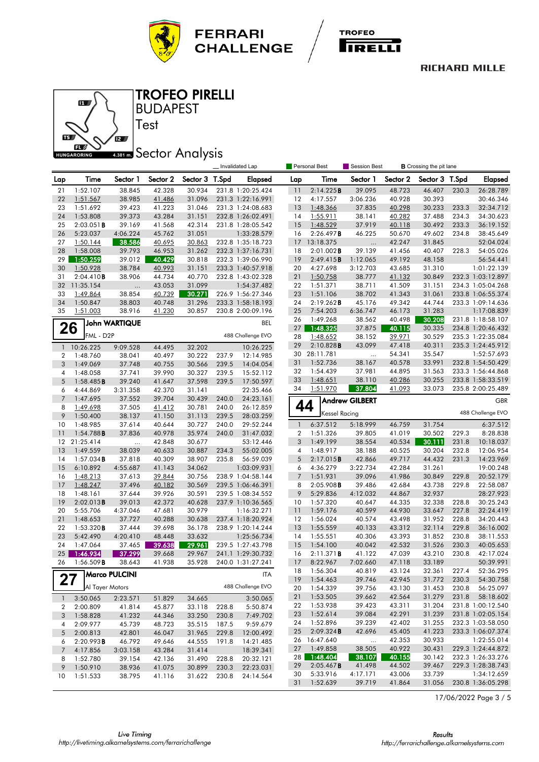





BUDAPEST TROFEO PIRELLI

# **4.381 mm** Sector Analysis

Test

|                |                       |                      |                  |                  |                | Invalidated Lap                        |                | <b>Personal Best</b>  | Session Best          |                  |                  |                |                                        |
|----------------|-----------------------|----------------------|------------------|------------------|----------------|----------------------------------------|----------------|-----------------------|-----------------------|------------------|------------------|----------------|----------------------------------------|
| Lap            | Time                  | Sector 1             | Sector 2         | Sector 3 T.Spd   |                | <b>Elapsed</b>                         | Lap            | Time                  | Sector 1              | Sector 2         | Sector 3 T.Spd   |                | <b>Elapsed</b>                         |
| 21             | 1:52.107              | 38.845               | 42.328           | 30.934           |                | 231.8 1:20:25.424                      | 11             | 2:14.225B             | 39.095                | 48.723           | 46.407           | 230.3          | 26:28.789                              |
| 22             | 1:51.567              | 38.985               | 41.486           | 31.096           |                | 231.3 1:22:16.991                      | 12             | 4:17.557              | 3:06.236              | 40.928           | 30.393           |                | 30:46.346                              |
| 23             | 1:51.692              | 39.423               | 41.223           | 31.046           |                | 231.3 1:24:08.683                      | 13             | 1:48.366              | 37.835                | 40.298           | 30.233           | 233.3          | 32:34.712                              |
| 24             | 1:53.808              | 39.373               | 43.284           | 31.151           |                | 232.8 1:26:02.491                      | 14             | 1:55.911              | 38.141                | 40.282           | 37.488           | 234.3          | 34:30.623                              |
| 25             | 2:03.051B             | 39.169               | 41.568           | 42.314           |                | 231.8 1:28:05.542                      | 15             | 1:48.529              | 37.919                | 40.118           | 30.492           | 233.3          | 36:19.152                              |
| 26             | 5:23.037              | 4:06.224             | 45.762           | 31.051           |                | 1:33:28.579                            | 16             | 2:26.497B             | 46.225                | 50.670           | 49.602           | 234.8          | 38:45.649                              |
| 27             | 1:50.144              | 38.586               | 40.695           | 30.863           |                | 232.8 1:35:18.723                      | 17             | 13:18.375             |                       | 42.247           | 31.845           |                | 52:04.024                              |
| 28             | 1:58.008              | 39.793               | 46.953           | 31.262           |                | 232.3 1:37:16.731                      | 18             | 2:01.002B             | 39.139                | 41.456           | 40.407           | 228.3          | 54:05.026                              |
| 29             | 1:50.259              | 39.012               | 40.429           | 30.818           |                | 232.3 1:39:06.990                      | 19             | 2:49.415B             | 1:12.065              | 49.192           | 48.158           |                | 56:54.441                              |
| 30             | 1:50.928              | 38.784               | 40.993           | 31.151           |                | 233.3 1:40:57.918                      | 20             | 4:27.698              | 3:12.703              | 43.685           | 31.310           |                | 1:01:22.139                            |
| 31             | 2:04.410B             | 38.906               | 44.734           | 40.770           |                | 232.8 1:43:02.328                      | 21             | 1:50.758              | 38.777                | 41.132           | 30.849           |                | 232.3 1:03:12.897                      |
| 32             | 11:35.154             | $\cdots$             | 43.053           | 31.099           |                | 1:54:37.482                            | 22             | 1:51.371              | 38.711                | 41.509           | 31.151           |                | 234.3 1:05:04.268                      |
| 33             | 1:49.864              | 38.854               | 40.739           | 30.271           |                | 226.9 1:56:27.346                      | 23             | 1:51.106              | 38.702                | 41.343           | 31.061           |                | 233.8 1:06:55.374                      |
| 34             | 1:50.847              | 38.803               | 40.748           | 31.296           |                | 233.3 1:58:18.193                      | 24             | 2:19.262B             | 45.176                | 49.342           | 44.744           |                | 233.3 1:09:14.636                      |
| 35             | 1:51.003              | 38.916               | 41.230           | 30.857           |                | 230.8 2:00:09.196                      | 25             | 7:54.203              | 6:36.747              | 46.173           | 31.283           |                | 1:17:08.839                            |
|                |                       | <b>John WARTIQUE</b> |                  |                  |                | BEL                                    | 26             | 1:49.268              | 38.562                | 40.498           | 30.208           |                | 231.8 1:18:58.107                      |
| 26             | FML - D2P             |                      |                  |                  |                | 488 Challenge EVO                      | 27<br>28       | 1:48.325              | 37.875                | 40.115           | 30.335<br>30.529 |                | 234.8 1:20:46.432                      |
|                |                       |                      |                  |                  |                |                                        | 29             | 1:48.652<br>2:10.828B | 38.152<br>43.099      | 39.971<br>47.418 | 40.311           |                | 235.3 1:22:35.084<br>235.3 1:24:45.912 |
| $\mathbf{1}$   | 10:26.225             | 9:09.528             | 44.495           | 32.202           |                | 10:26.225                              | 30             | 28:11.781             |                       | 54.341           | 35.547           |                | 1:52:57.693                            |
| 2              | 1:48.760              | 38.041               | 40.497           | 30.222           | 237.9          | 12:14.985                              | 31             | 1:52.736              | $\ddotsc$<br>38.167   | 40.578           | 33.991           |                | 232.8 1:54:50.429                      |
| 3              | 1:49.069              | 37.748               | 40.755           | 30.566           | 239.5          | 14:04.054                              | 32             | 1:54.439              | 37.981                | 44.895           | 31.563           |                | 233.3 1:56:44.868                      |
| 4<br>5         | 1:48.058              | 37.741               | 39.990           | 30.327           | 239.5          | 15:52.112                              | 33             | 1:48.651              | 38.110                | 40.286           | 30.255           |                | 233.8 1:58:33.519                      |
| 6              | 1:58.485B<br>4:44.869 | 39.240<br>3:31.358   | 41.647<br>42.370 | 37.598<br>31.141 | 239.5          | 17:50.597<br>22:35.466                 | 34             | 1:51.970              | 37.804                | 41.093           | 33.073           |                | 235.8 2:00:25.489                      |
| $\overline{7}$ | 1:47.695              | 37.552               | 39.704           | 30.439           | 240.0          | 24:23.161                              |                |                       |                       |                  |                  |                |                                        |
| 8              | 1:49.698              | 37.505               | 41.412           | 30.781           | 240.0          | 26:12.859                              |                | 44                    | <b>Andrew GILBERT</b> |                  |                  |                | <b>GBR</b>                             |
| 9              | 1:50.400              | 38.137               | 41.150           | 31.113           | 239.5          | 28:03.259                              |                | <b>Kessel Racing</b>  |                       |                  |                  |                | 488 Challenge EVO                      |
| 10             | 1:48.985              | 37.614               | 40.644           | 30.727           | 240.0          | 29:52.244                              | $\mathbf{1}$   | 6:37.512              | 5:18.999              | 46.759           | 31.754           |                | 6:37.512                               |
| 11             | 1:54.788B             | 37.836               | 40.978           | 35.974           | 240.0          | 31:47.032                              | 2              | 1:51.326              | 39.805                | 41.019           | 30.502           | 229.3          | 8:28.838                               |
| 12             | 21:25.414             | $\ddotsc$            | 42.848           | 30.677           |                | 53:12.446                              | 3              | 1:49.199              | 38.554                | 40.534           | 30.111           | 231.8          | 10:18.037                              |
| 13             | 1:49.559              | 38.039               | 40.633           | 30.887           | 234.3          | 55:02.005                              | 4              | 1:48.917              | 38.188                | 40.525           | 30.204           | 232.8          | 12:06.954                              |
| 14             | $1:57.034$ <b>B</b>   | 37.818               | 40.309           | 38.907           | 235.8          | 56:59.039                              | 5              | 2:17.015B             | 42.866                | 49.717           | 44.432           | 231.3          | 14:23.969                              |
| 15             | 6:10.892              | 4:55.687             | 41.143           | 34.062           |                | 1:03:09.931                            | 6              | 4:36.279              | 3:22.734              | 42.284           | 31.261           |                | 19:00.248                              |
| 16             | 1:48.213              | 37.613               | 39.844           | 30.756           |                | 238.9 1:04:58.144                      | $\overline{7}$ | 1:51.931              | 39.096                | 41.986           | 30.849           | 229.8          | 20:52.179                              |
| 17             | 1:48.247              | 37.496               | 40.182           | 30.569           |                | 239.5 1:06:46.391                      | 8              | 2:05.908B             | 39.486                | 42.684           | 43.738           | 229.8          | 22:58.087                              |
| 18             | 1:48.161              | 37.644               | 39.926           | 30.591           |                | 239.5 1:08:34.552                      | 9              | 5:29.836              | 4:12.032              | 44.867           | 32.937           |                | 28:27.923                              |
| 19             | 2:02.013B             | 39.013               | 42.372           | 40.628           |                | 237.9 1:10:36.565                      | 10             | 1:57.320              | 40.647                | 44.335           | 32.338           | 228.8          | 30:25.243                              |
| 20             | 5:55.706              | 4:37.046             | 47.681           | 30.979           |                | 1:16:32.271                            | 11             | 1:59.176              | 40.599                | 44.930           | 33.647           | 227.8          | 32:24.419                              |
| 21             | 1:48.653              | 37.727               | 40.288           | 30.638           |                | 237.4 1:18:20.924                      | 12             | 1:56.024              | 40.574                | 43.498           | 31.952           | 228.8          | 34:20.443                              |
| 22             | 1:53.320B             | 37.444               | 39.698           | 36.178           |                | 238.9 1:20:14.244                      | 13             | 1:55.559              | 40.133                | 43.312           | 32.114           | 229.8          | 36:16.002                              |
| 23             | 5:42.490              | 4:20.410             | 48.448           | 33.632           |                | 1:25:56.734                            | 14             | 1:55.551              | 40.306                | 43.393           | 31.852           | 230.8          | 38:11.553                              |
| 24             | 1:47.064              | 37.465               | 39.638           | 29.961           |                | 239.5 1:27:43.798                      | 15             | 1:54.100              | 40.042                | 42.532           | 31.526           | 230.3          | 40:05.653                              |
| 25             | 1:46.934              | 37.299               | 39.668           | 29.967           |                | 241.1 1:29:30.732<br>240.0 1:31:27.241 | 16             | 2:11.371B             | 41.122                | 47.039           | 43.210           | 230.8          | 42:17.024<br>50:39.991                 |
| 26             | $1:56.509$ <b>B</b>   | 38.643               | 41.938           | 35.928           |                |                                        | 17<br>18       | 8:22.967<br>1:56.304  | 7:02.660<br>40.819    | 47.118<br>43.124 | 33.189<br>32.361 | 227.4          | 52:36.295                              |
| 27             |                       | <b>Marco PULCINI</b> |                  |                  |                | ITA                                    | 19             | 1:54.463              | 39.746                | 42.945           | 31.772           |                | 54:30.758                              |
|                | Al Tayer Motors       |                      |                  |                  |                | 488 Challenge EVO                      | 20             | 1:54.339              | 39.756                | 43.130           | 31.453           | 230.3<br>230.8 | 56:25.097                              |
|                |                       |                      |                  |                  |                |                                        | 21             | 1:53.505              | 39.662                | 42.564           | 31.279           | 231.8          | 58:18.602                              |
| $\mathbf{1}$   | 3:50.065              | 2:23.571             | 51.829           | 34.665           |                | 3:50.065                               | 22             | 1:53.938              | 39.423                | 43.311           | 31.204           |                | 231.8 1:00:12.540                      |
| 2<br>3         | 2:00.809<br>1:58.828  | 41.814<br>41.232     | 45.877<br>44.346 | 33.118<br>33.250 | 228.8<br>230.8 | 5:50.874<br>7:49.702                   | 23             | 1:52.614              | 39.084                | 42.291           | 31.239           |                | 231.8 1:02:05.154                      |
| 4              | 2:09.977              | 45.739               | 48.723           | 35.515           | 187.5          | 9:59.679                               | 24             | 1:52.896              | 39.239                | 42.402           | 31.255           |                | 232.3 1:03:58.050                      |
| 5              | 2:00.813              | 42.801               | 46.047           | 31.965           | 229.8          | 12:00.492                              | 25             | 2:09.324B             | 42.696                | 45.405           | 41.223           |                | 233.3 1:06:07.374                      |
| 6              | 2:20.993B             | 46.792               | 49.646           | 44.555           | 191.8          | 14:21.485                              | 26             | 16:47.640             | $\ldots$              | 42.353           | 30.933           |                | 1:22:55.014                            |
| 7              | 4:17.856              | 3:03.158             | 43.284           | 31.414           |                | 18:39.341                              | 27             | 1:49.858              | 38.505                | 40.922           | 30.431           |                | 229.3 1:24:44.872                      |
| 8              | 1:52.780              | 39.154               | 42.136           | 31.490           | 228.8          | 20:32.121                              | 28             | 1:48.404              | 38.107                | 40.155           | 30.142           |                | 232.3 1:26:33.276                      |
| 9              | 1:50.910              | 38.936               | 41.075           | 30.899           | 230.3          | 22:23.031                              | 29             | 2:05.467B             | 41.498                | 44.502           | 39.467           |                | 229.3 1:28:38.743                      |
| 10             | 1:51.533              | 38.795               | 41.116           | 31.622           | 230.8          | 24:14.564                              | 30             | 5:33.916              | 4:17.171              | 43.006           | 33.739           |                | 1:34:12.659                            |
|                |                       |                      |                  |                  |                |                                        | 31             | 1:52.639              | 39.719                | 41.864           | 31.056           |                | 230.8 1:36:05.298                      |

17/06/2022 Page 3 / 5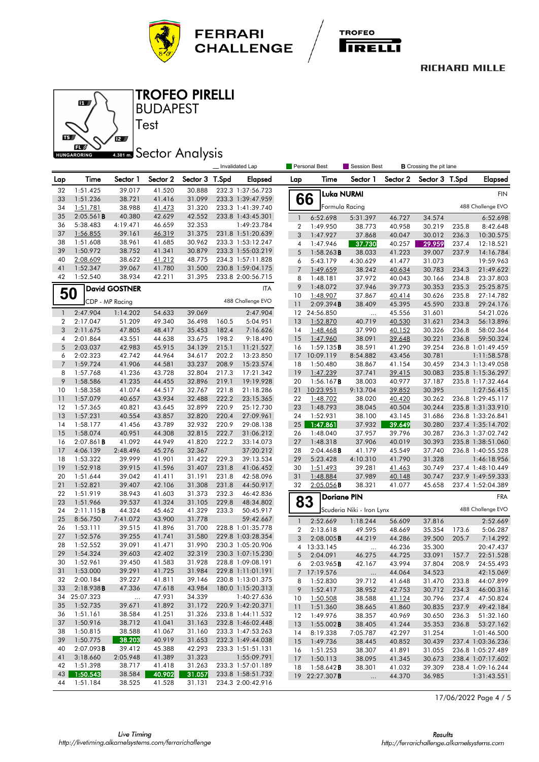





BUDAPEST TROFEO PIRELLI

# **4.381 mm** Sector Analysis

Test

|                     |                       |                      |                  |                  | Invalidated Lap |                                        |                         | <b>Personal Best</b>            | Session Best              |                  | <b>B</b> Crossing the pit lane |       |                          |
|---------------------|-----------------------|----------------------|------------------|------------------|-----------------|----------------------------------------|-------------------------|---------------------------------|---------------------------|------------------|--------------------------------|-------|--------------------------|
| Lap                 | Time                  | Sector 1             | Sector 2         | Sector 3 T.Spd   |                 | Elapsed                                | Lap                     | Time                            | Sector 1                  | Sector 2         | Sector 3 T.Spd                 |       | <b>Elapsed</b>           |
| 32                  | 1:51.425              | 39.017               | 41.520           | 30.888           |                 | 232.3 1:37:56.723                      |                         | <b>Luka NURMI</b>               |                           |                  |                                |       | <b>FIN</b>               |
| 33                  | 1:51.236              | 38.721               | 41.416           | 31.099           |                 | 233.3 1:39:47.959                      | 66                      |                                 |                           |                  |                                |       |                          |
| 34                  | 1:51.781              | 38.988               | 41.473           | 31.320           |                 | 233.3 1:41:39.740                      |                         | Formula Racing                  |                           |                  |                                |       | 488 Challenge EVO        |
| 35                  | 2:05.561B             | 40.380               | 42.629           | 42.552           |                 | 233.8 1:43:45.301                      | $\mathbf{1}$            | 6:52.698                        | 5:31.397                  | 46.727           | 34.574                         |       | 6:52.698                 |
| 36                  | 5:38.483              | 4:19.471             | 46.659           | 32.353           |                 | 1:49:23.784                            | $\overline{\mathbf{2}}$ | 1:49.950                        | 38.773                    | 40.958           | 30.219                         | 235.8 | 8:42.648                 |
| 37                  | 1:56.855              | 39.161               | 46.319           | 31.375           |                 | 231.8 1:51:20.639                      | 3                       | 1:47.927                        | 37.868                    | 40.047           | 30.012                         | 236.3 | 10:30.575                |
| 38                  | 1:51.608              | 38.961               | 41.685           | 30.962           |                 | 233.3 1:53:12.247                      | 4                       | 1:47.946                        | 37.730                    | 40.257           | 29.959                         | 237.4 | 12:18.521                |
| 39                  | 1:50.972              | 38.752               | 41.341           | 30.879           |                 | 233.3 1:55:03.219                      | 5                       | 1:58.263B                       | 38.033                    | 41.223           | 39.007                         | 237.9 | 14:16.784                |
| 40                  | 2:08.609              | 38.622               | 41.212           | 48.775           |                 | 234.3 1:57:11.828                      | 6                       | 5:43.179                        | 4:30.629                  | 41.477           | 31.073                         |       | 19:59.963                |
| 41                  | 1:52.347              | 39.067               | 41.780           | 31.500           |                 | 230.8 1:59:04.175<br>233.8 2:00:56.715 | $\overline{7}$          | 1:49.659                        | 38.242                    | 40.634           | 30.783                         | 234.3 | 21:49.622                |
| 42                  | 1:52.540              | 38.934               | 42.211           | 31.395           |                 |                                        | 8                       | 1:48.181                        | 37.972                    | 40.043           | 30.166                         | 234.8 | 23:37.803                |
|                     |                       | <b>David GOSTNER</b> |                  |                  |                 | ITA                                    | 9                       | 1:48.072                        | 37.946                    | 39.773           | 30.353                         | 235.3 | 25:25.875                |
|                     | 50<br>CDP - MP Racing |                      |                  |                  |                 | 488 Challenge EVO                      | 10                      | 1:48.907                        | 37.867                    | 40.414           | 30.626                         | 235.8 | 27:14.782                |
|                     |                       |                      |                  |                  |                 |                                        | 11                      | 2:09.394B                       | 38.409                    | 45.395           | 45.590                         | 233.8 | 29:24.176                |
| 1<br>$\overline{2}$ | 2:47.904              | 1:14.202             | 54.633           | 39.069           |                 | 2:47.904                               | 12                      | 24:56.850                       |                           | 45.556           | 31.601                         | 234.3 | 54:21.026                |
| 3                   | 2:17.047<br>2:11.675  | 51.209<br>47.805     | 49.340           | 36.498<br>35.453 | 160.5<br>182.4  | 5:04.951                               | 13<br>14                | 1:52.870                        | 40.719                    | 40.530           | 31.621                         | 236.8 | 56:13.896<br>58:02.364   |
| 4                   | 2:01.864              | 43.551               | 48.417<br>44.638 | 33.675           | 198.2           | 7:16.626<br>9:18.490                   | 15                      | 1:48.468<br>1:47.960            | 37.990<br>38.091          | 40.152<br>39.648 | 30.326<br>30.221               | 236.8 | 59:50.324                |
| 5                   | 2:03.037              | 42.983               | 45.915           | 34.139           | 215.1           | 11:21.527                              | 16                      | 1:59.135B                       | 38.591                    | 41.290           | 39.254                         |       | 236.8 1:01:49.459        |
| 6                   | 2:02.323              | 42.742               | 44.964           | 34.617           | 202.2           | 13:23.850                              | 17                      | 10:09.119                       | 8:54.882                  | 43.456           | 30.781                         |       | 1:11:58.578              |
| $\overline{7}$      | 1:59.724              | 41.906               | 44.581           | 33.237           | 208.9           | 15:23.574                              | 18                      | 1:50.480                        | 38.867                    | 41.154           | 30.459                         |       | 234.3 1:13:49.058        |
| 8                   | 1:57.768              | 41.236               | 43.728           | 32.804           | 217.3           | 17:21.342                              | 19                      | 1:47.239                        | 37.741                    | 39.415           | 30.083                         |       | 235.8 1:15:36.297        |
| 9                   | 1:58.586              | 41.235               | 44.455           | 32.896           | 219.1           | 19:19.928                              | 20                      | 1:56.167B                       | 38.003                    | 40.977           | 37.187                         |       | 235.8 1:17:32.464        |
| 10                  | 1:58.358              | 41.074               | 44.517           | 32.767           | 221.8           | 21:18.286                              | 21                      | 10:23.951                       | 9:13.704                  | 39.852           | 30.395                         |       | 1:27:56.415              |
| 11                  | 1:57.079              | 40.657               | 43.934           | 32.488           | 222.2           | 23:15.365                              | 22                      | 1:48.702                        | 38.020                    | 40.420           | 30.262                         |       | 236.8 1:29:45.117        |
| 12                  | 1:57.365              | 40.821               | 43.645           | 32.899           | 220.9           | 25:12.730                              | 23                      | 1:48.793                        | 38.045                    | 40.504           | 30.244                         |       | 235.8 1:31:33.910        |
| 13                  | 1:57.231              | 40.554               | 43.857           | 32.820           | 220.4           | 27:09.961                              | 24                      | 1:52.931                        | 38.100                    | 43.145           | 31.686                         |       | 236.8 1:33:26.841        |
| 14                  | 1:58.177              | 41.456               | 43.789           | 32.932           | 220.9           | 29:08.138                              | 25                      | 1:47.861                        | 37.932                    | 39.649           | 30.280                         |       | 237.4 1:35:14.702        |
| 15                  | 1:58.074              | 40.951               | 44.308           | 32.815           | 222.7           | 31:06.212                              | 26                      | 1:48.040                        | 37.957                    | 39.796           | 30.287                         |       | 236.3 1:37:02.742        |
| 16                  | $2:07.861$ B          | 41.092               | 44.949           | 41.820           | 222.2           | 33:14.073                              | 27                      | 1:48.318                        | 37.906                    | 40.019           | 30.393                         |       | 235.8 1:38:51.060        |
| 17                  | 4:06.139              | 2:48.496             | 45.276           | 32.367           |                 | 37:20.212                              | 28                      | $2:04.468$ B                    | 41.179                    | 45.549           | 37.740                         |       | 236.8 1:40:55.528        |
| 18                  | 1:53.322              | 39.999               | 41.901           | 31.422           | 229.3           | 39:13.534                              | 29                      | 5:23.428                        | 4:10.310                  | 41.790           | 31.328                         |       | 1:46:18.956              |
| 19                  | 1:52.918              | 39.915               | 41.596           | 31.407           | 231.8           | 41:06.452                              | 30                      | 1:51.493                        | 39.281                    | 41.463           | 30.749                         |       | 237.4 1:48:10.449        |
| 20                  | 1:51.644              | 39.042               | 41.411           | 31.191           | 231.8           | 42:58.096                              | 31                      | 1:48.884                        | 37.989                    | 40.148           | 30.747                         |       | 237.9 1:49:59.333        |
| 21                  | 1:52.821              | 39.407               | 42.106           | 31.308           | 231.8           | 44:50.917                              | 32                      | $2:05.056$ <b>B</b>             | 38.321                    | 41.077           | 45.658                         |       | 237.4 1:52:04.389        |
| 22                  | 1:51.919              | 38.943               | 41.603           | 31.373           | 232.3           | 46:42.836                              |                         | <b>Doriane PIN</b>              |                           |                  |                                |       | <b>FRA</b>               |
| 23                  | 1:51.966              | 39.537               | 41.324           | 31.105           | 229.8           | 48:34.802                              | 83                      |                                 |                           |                  |                                |       |                          |
| 24                  | 2:11.115B             | 44.324               | 45.462           | 41.329           | 233.3           | 50:45.917                              |                         |                                 | Scuderia Niki - Iron Lynx |                  |                                |       | 488 Challenge EVO        |
| 25                  | 8:56.750              | 7:41.072             | 43.900           | 31.778           |                 | 59:42.667                              | $\mathbf{1}$            | 2:52.669                        | 1:18.244                  | 56.609           | 37.816                         |       | 2:52.669                 |
| 26                  | 1:53.111              | 39.515               | 41.896           | 31.700           |                 | 228.8 1:01:35.778                      | $\boldsymbol{2}$        | 2:13.618                        | 49.595                    | 48.669           | 35.354                         | 173.6 | 5:06.287                 |
| 27                  | 1:52.576              | 39.255               | 41.741           | 31.580           |                 | 229.8 1:03:28.354                      | 3                       | 2:08.005B                       | 44.219                    | 44.286           | 39.500                         | 205.7 | 7:14.292                 |
| 28                  | 1:52.552              | 39.091               | 41.471           | 31.990           |                 | 230.3 1:05:20.906                      |                         | 4 13:33.145                     |                           | 46.236           | 35.300                         |       | 20:47.437                |
| 29                  | 1:54.324              | 39.603               | 42.402           | 32.319           |                 | 230.3 1:07:15.230                      | 5                       | 2:04.091                        | 46.275                    | 44.725           | 33.091                         | 157.7 | 22:51.528                |
| 30                  | 1:52.961              | 39.450               | 41.583           | 31.928           |                 | 228.8 1:09:08.191                      | 6                       | 2:03.965B                       | 42.167                    | 43.994           | 37.804                         | 208.9 | 24:55.493                |
| 31                  | 1:53.000              | 39.291               | 41.725           | 31.984           |                 | 229.8 1:11:01.191                      |                         | 7 17:19.576                     | $\cdots$                  | 44.064           | 34.523                         |       | 42:15.069                |
| 32<br>33            | 2:00.184<br>2:18.938B | 39.227<br>47.336     | 41.811<br>47.618 | 39.146<br>43.984 |                 | 230.8 1:13:01.375                      | 8                       | 1:52.830                        | 39.712                    | 41.648           | 31.470                         | 233.8 | 44:07.899                |
| 34                  | 25:07.323             |                      | 47.931           | 34.339           |                 | 180.0 1:15:20.313<br>1:40:27.636       | 9                       | 1:52.417                        | 38.952                    | 42.753           | 30.712                         | 234.3 | 46:00.316                |
| 35                  | 1:52.735              | $\ldots$<br>39.671   | 41.892           | 31.172           |                 | 220.9 1:42:20.371                      | 10                      | 1:50.508                        | 38.588                    | 41.124           | 30.796                         | 237.4 | 47:50.824                |
| 36                  | 1:51.161              | 38.584               | 41.251           | 31.326           |                 | 233.8 1:44:11.532                      | 11                      | 1:51.360                        | 38.665                    | 41.860           | 30.835                         | 237.9 | 49:42.184                |
| 37                  | 1:50.916              | 38.712               | 41.041           | 31.163           |                 | 232.8 1:46:02.448                      | 12                      | 1:49.976                        | 38.357                    | 40.969           | 30.650                         | 236.3 | 51:32.160                |
| 38                  | 1:50.815              | 38.588               | 41.067           | 31.160           |                 | 233.3 1:47:53.263                      | 13<br>14                | $1:55.002$ <b>B</b><br>8:19.338 | 38.405                    | 41.244<br>42.297 | 35.353                         | 236.8 | 53:27.162<br>1:01:46.500 |
| 39                  | 1:50.775              | 38.203               | 40.919           | 31.653           |                 | 232.3 1:49:44.038                      |                         | 1:49.736                        | 7:05.787                  |                  | 31.254                         |       | 237.4 1:03:36.236        |
| 40                  | 2:07.093B             | 39.412               | 45.388           | 42.293           |                 | 233.3 1:51:51.131                      | 15<br>16                | 1:51.253                        | 38.445<br>38.307          | 40.852<br>41.891 | 30.439<br>31.055               |       | 236.8 1:05:27.489        |
| 41                  | 3:18.660              | 2:05.948             | 41.389           | 31.323           |                 | 1:55:09.791                            | 17                      | 1:50.113                        | 38.095                    | 41.345           | 30.673                         |       | 238.4 1:07:17.602        |
| 42                  | 1:51.398              | 38.717               | 41.418           | 31.263           |                 | 233.3 1:57:01.189                      | 18                      | 1:58.642B                       | 38.301                    | 41.032           | 39.309                         |       | 238.4 1:09:16.244        |
| 43                  | 1:50.543              | 38.584               | 40.902           | 31.057           |                 | 233.8 1:58:51.732                      |                         | 19 22:27.307B                   | $\ddotsc$                 | 44.370           | 36.985                         |       | 1:31:43.551              |
| 44                  | 1:51.184              | 38.525               | 41.528           | 31.131           |                 | 234.3 2:00:42.916                      |                         |                                 |                           |                  |                                |       |                          |

17/06/2022 Page 4 / 5